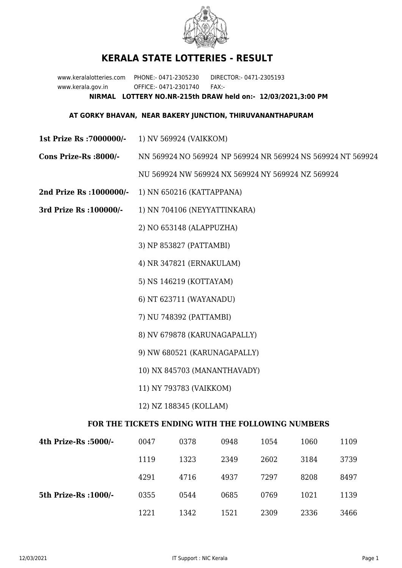

## **KERALA STATE LOTTERIES - RESULT**

www.keralalotteries.com PHONE:- 0471-2305230 DIRECTOR:- 0471-2305193 www.kerala.gov.in OFFICE:- 0471-2301740 FAX:- **NIRMAL LOTTERY NO.NR-215th DRAW held on:- 12/03/2021,3:00 PM**

## **AT GORKY BHAVAN, NEAR BAKERY JUNCTION, THIRUVANANTHAPURAM**

- **1st Prize Rs :7000000/-** 1) NV 569924 (VAIKKOM)
- **Cons Prize-Rs :8000/-** NN 569924 NO 569924 NP 569924 NR 569924 NS 569924 NT 569924 NU 569924 NW 569924 NX 569924 NY 569924 NZ 569924
- **2nd Prize Rs :1000000/-** 1) NN 650216 (KATTAPPANA)
- **3rd Prize Rs :100000/-** 1) NN 704106 (NEYYATTINKARA)

2) NO 653148 (ALAPPUZHA)

3) NP 853827 (PATTAMBI)

4) NR 347821 (ERNAKULAM)

5) NS 146219 (KOTTAYAM)

6) NT 623711 (WAYANADU)

7) NU 748392 (PATTAMBI)

- 8) NV 679878 (KARUNAGAPALLY)
- 9) NW 680521 (KARUNAGAPALLY)
- 10) NX 845703 (MANANTHAVADY)
- 11) NY 793783 (VAIKKOM)
- 12) NZ 188345 (KOLLAM)

## **FOR THE TICKETS ENDING WITH THE FOLLOWING NUMBERS**

| 4th Prize-Rs :5000/-  | 0047 | 0378 | 0948 | 1054 | 1060 | 1109 |
|-----------------------|------|------|------|------|------|------|
|                       | 1119 | 1323 | 2349 | 2602 | 3184 | 3739 |
|                       | 4291 | 4716 | 4937 | 7297 | 8208 | 8497 |
| 5th Prize-Rs : 1000/- | 0355 | 0544 | 0685 | 0769 | 1021 | 1139 |
|                       | 1221 | 1342 | 1521 | 2309 | 2336 | 3466 |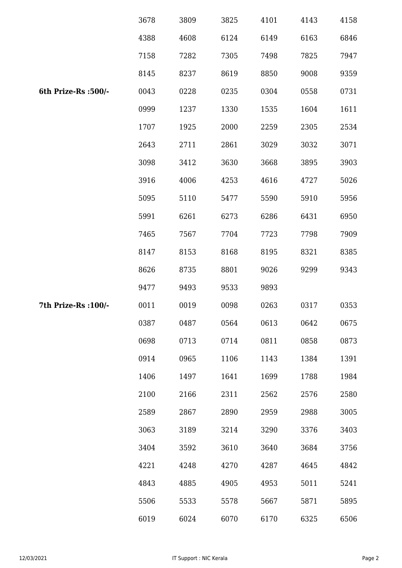|                      | 3678 | 3809 | 3825 | 4101 | 4143 | 4158 |
|----------------------|------|------|------|------|------|------|
|                      | 4388 | 4608 | 6124 | 6149 | 6163 | 6846 |
|                      | 7158 | 7282 | 7305 | 7498 | 7825 | 7947 |
|                      | 8145 | 8237 | 8619 | 8850 | 9008 | 9359 |
| 6th Prize-Rs :500/-  | 0043 | 0228 | 0235 | 0304 | 0558 | 0731 |
|                      | 0999 | 1237 | 1330 | 1535 | 1604 | 1611 |
|                      | 1707 | 1925 | 2000 | 2259 | 2305 | 2534 |
|                      | 2643 | 2711 | 2861 | 3029 | 3032 | 3071 |
|                      | 3098 | 3412 | 3630 | 3668 | 3895 | 3903 |
|                      | 3916 | 4006 | 4253 | 4616 | 4727 | 5026 |
|                      | 5095 | 5110 | 5477 | 5590 | 5910 | 5956 |
|                      | 5991 | 6261 | 6273 | 6286 | 6431 | 6950 |
|                      | 7465 | 7567 | 7704 | 7723 | 7798 | 7909 |
|                      | 8147 | 8153 | 8168 | 8195 | 8321 | 8385 |
|                      | 8626 | 8735 | 8801 | 9026 | 9299 | 9343 |
|                      | 9477 | 9493 | 9533 | 9893 |      |      |
| 7th Prize-Rs : 100/- | 0011 | 0019 | 0098 | 0263 | 0317 | 0353 |
|                      | 0387 | 0487 | 0564 | 0613 | 0642 | 0675 |
|                      | 0698 | 0713 | 0714 | 0811 | 0858 | 0873 |
|                      | 0914 | 0965 | 1106 | 1143 | 1384 | 1391 |
|                      | 1406 | 1497 | 1641 | 1699 | 1788 | 1984 |
|                      | 2100 | 2166 | 2311 | 2562 | 2576 | 2580 |
|                      | 2589 | 2867 | 2890 | 2959 | 2988 | 3005 |
|                      | 3063 | 3189 | 3214 | 3290 | 3376 | 3403 |
|                      | 3404 | 3592 | 3610 | 3640 | 3684 | 3756 |
|                      | 4221 | 4248 | 4270 | 4287 | 4645 | 4842 |
|                      | 4843 | 4885 | 4905 | 4953 | 5011 | 5241 |
|                      | 5506 | 5533 | 5578 | 5667 | 5871 | 5895 |
|                      | 6019 | 6024 | 6070 | 6170 | 6325 | 6506 |